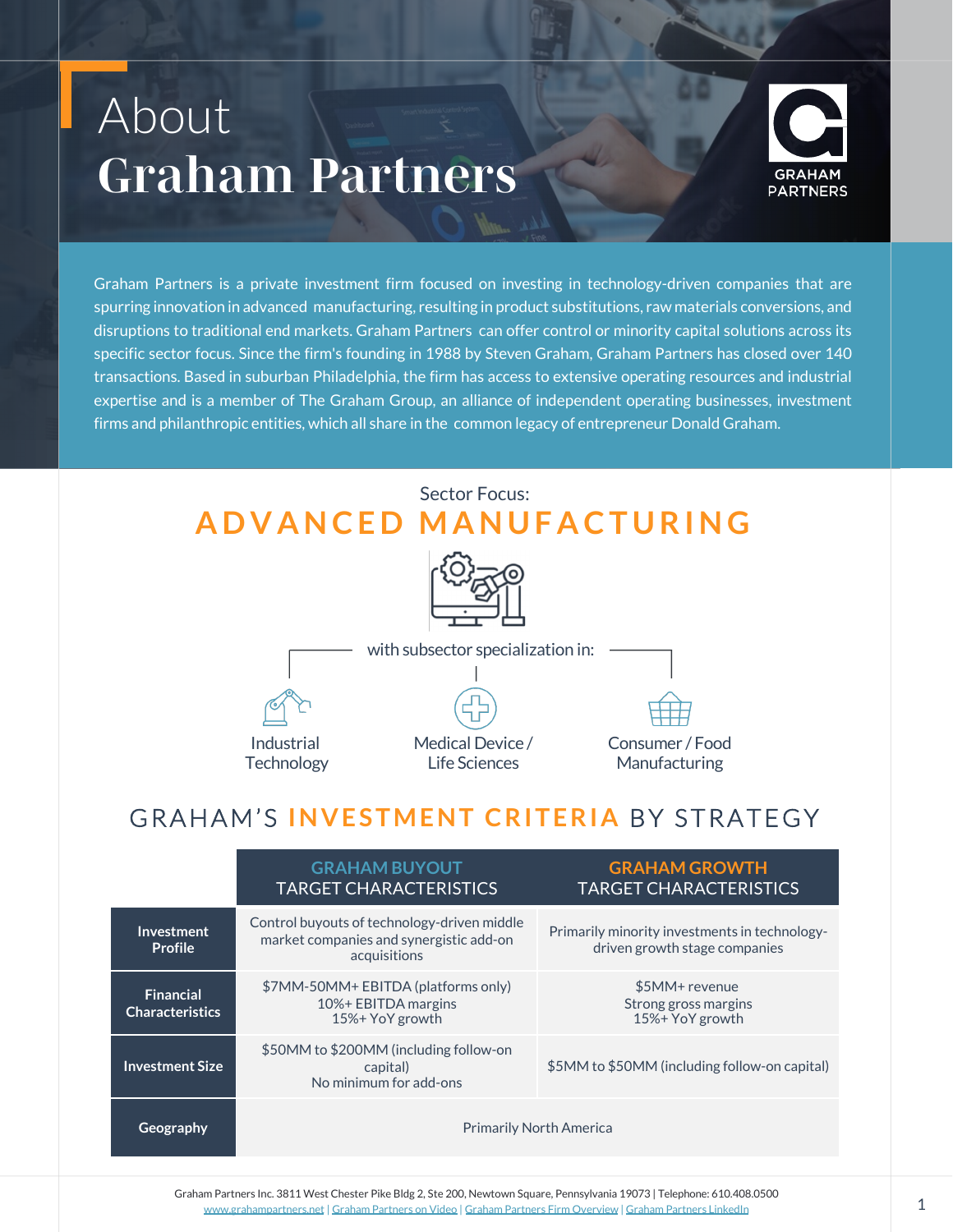## About *Graham Partners*



Graham Partners is a private investment firm focused on investing in technology-driven companies that are spurring innovation in advanced manufacturing, resulting in product substitutions, raw materials conversions, and disruptions to traditional end markets. Graham Partners can offer control or minority capital solutions across its specific sector focus. Since the firm's founding in 1988 by Steven Graham, Graham Partners has closed over 140 transactions. Based in suburban Philadelphia, the firm has access to extensive operating resources and industrial expertise and is a member of The Graham Group, an alliance of independent operating businesses, investment firms and philanthropic entities, which all share in the common legacy of entrepreneur Donald Graham.

### Sector Focus: **ADVANCED MANUFACTURING**





## GRAHAM'S **INVESTMENT CRITERIA** BY STRATEGY

|                                            | <b>GRAHAM BUYOUT</b><br><b>TARGET CHARACTERISTICS</b>                                                  | <b>GRAHAM GROWTH</b><br><b>TARGET CHARACTERISTICS</b>                          |
|--------------------------------------------|--------------------------------------------------------------------------------------------------------|--------------------------------------------------------------------------------|
| <b>Investment</b><br>Profile               | Control buyouts of technology-driven middle<br>market companies and synergistic add-on<br>acquisitions | Primarily minority investments in technology-<br>driven growth stage companies |
| <b>Financial</b><br><b>Characteristics</b> | \$7MM-50MM+ EBITDA (platforms only)<br>10%+ EBITDA margins<br>15%+ YoY growth                          | \$5MM+ revenue<br>Strong gross margins<br>15%+ YoY growth                      |
| <b>Investment Size</b>                     | \$50MM to \$200MM (including follow-on<br>capital)<br>No minimum for add-ons                           | \$5MM to \$50MM (including follow-on capital)                                  |
| Geography                                  | <b>Primarily North America</b>                                                                         |                                                                                |